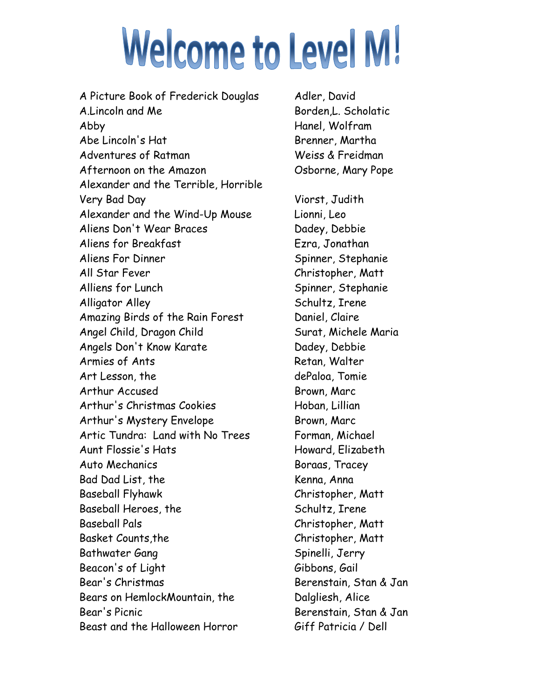## **Welcome to Level M!**

A Picture Book of Frederick Douglas Adler, David A.Lincoln and Me Borden, L. Scholatic Abby Hanel, Wolfram Abe Lincoln's Hat Brenner, Martha Adventures of Ratman Neiss & Freidman Afternoon on the Amazon Cosborne, Mary Pope Alexander and the Terrible, Horrible Very Bad Day Viorst, Judith Alexander and the Wind-Up Mouse Lionni, Leo Aliens Don't Wear Braces Dadey, Debbie Aliens for Breakfast Fig. 3 Ezra, Jonathan Aliens For Dinner Spinner, Stephanie All Star Fever **Christopher, Matt** Alliens for Lunch Spinner, Stephanie Alligator Alley Schultz, Irene Amazing Birds of the Rain Forest Daniel, Claire Angel Child, Dragon Child Surat, Michele Maria Angels Don't Know Karate **Dadey**, Debbie Armies of Ants Retan, Walter Art Lesson, the dePaloa, Tomie Arthur Accused Brown, Marc Arthur's Christmas Cookies Hoban, Lillian Arthur's Mystery Envelope Brown, Marc Artic Tundra: Land with No Trees Forman, Michael Aunt Flossie's Hats Howard, Elizabeth Auto Mechanics and Boraas, Tracey Bad Dad List, the Kenna, Anna Baseball Flyhawk Christopher, Matt Baseball Heroes, the Schultz, Irene Baseball Pals Christopher, Matt Basket Counts, the Christopher, Matt Bathwater Gang Spinelli, Jerry Beacon's of Light Gibbons, Gail Bear's Christmas **Bear**'s Christmas **Berenstain**, Stan & Jan Bears on HemlockMountain, the Dalgliesh, Alice Bear's Picnic Berenstain, Stan & Jan Beast and the Halloween Horror Giff Patricia / Dell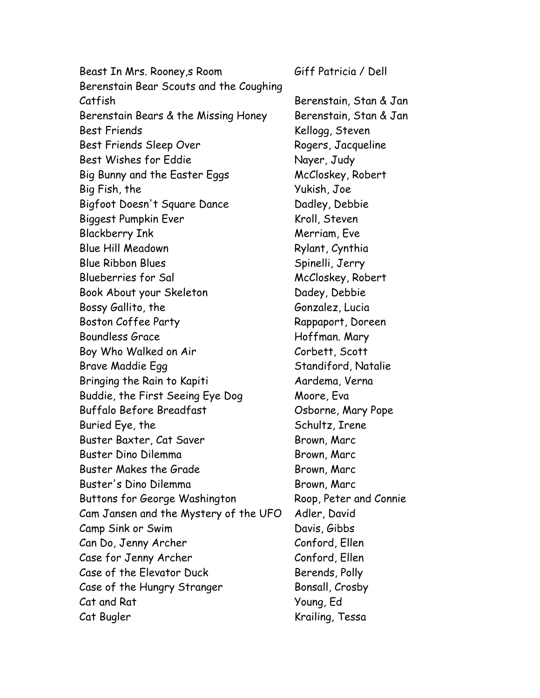Beast In Mrs. Rooney,s Room Giff Patricia / Dell Berenstain Bear Scouts and the Coughing Catfish Berenstain, Stan & Jan Berenstain Bears & the Missing Honey Berenstain, Stan & Jan Best Friends Kellogg, Steven Best Friends Sleep Over Rogers, Jacqueline Best Wishes for Eddie Nayer, Judy Big Bunny and the Easter Eggs McCloskey, Robert Big Fish, the Yukish, Joe Bigfoot Doesn't Square Dance Dadley, Debbie Biggest Pumpkin Ever Kroll, Steven Blackberry Ink Merriam, Eve Blue Hill Meadown Rylant, Cynthia Blue Ribbon Blues Spinelli, Jerry Blueberries for Sal McCloskey, Robert Book About your Skeleton Dadey, Debbie Bossy Gallito, the Gonzalez, Lucia Boston Coffee Party Rappaport, Doreen Boundless Grace Hoffman. Mary Boy Who Walked on Air Corbett, Scott Brave Maddie Egg Standiford, Natalie Bringing the Rain to Kapiti **Aardema**, Verna Buddie, the First Seeing Eye Dog Moore, Eva Buffalo Before Breadfast Osborne, Mary Pope Buried Eye, the Schultz, Irene Buster Baxter, Cat Saver Brown, Marc Buster Dino Dilemma Brown, Marc Buster Makes the Grade Brown, Marc Buster's Dino Dilemma Brown, Marc Buttons for George Washington Roop, Peter and Connie Cam Jansen and the Mystery of the UFO Adler, David Camp Sink or Swim Davis, Gibbs Can Do, Jenny Archer Conford, Ellen Case for Jenny Archer Conford, Ellen Case of the Elevator Duck Berends, Polly Case of the Hungry Stranger Bonsall, Crosby Cat and Rat Young, Ed Cat Bugler Krailing, Tessa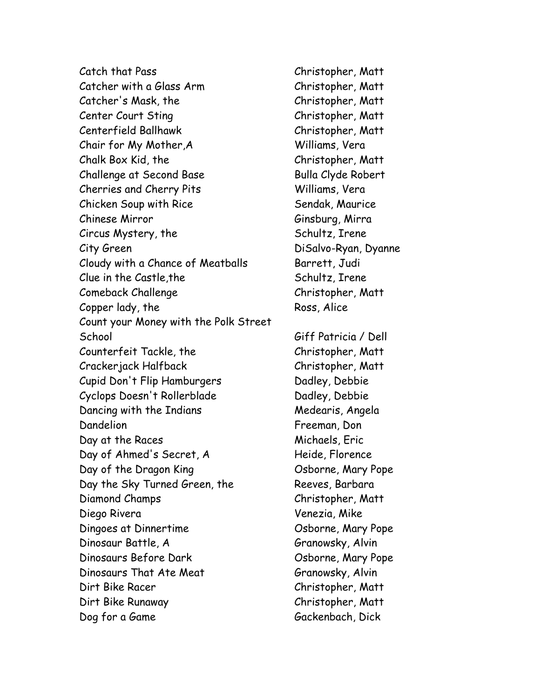Catch that Pass Christopher, Matt Catcher with a Glass Arm Christopher, Matt Catcher's Mask, the Christopher, Matt Center Court Sting Christopher, Matt Centerfield Ballhawk Christopher, Matt Chair for My Mother,A Williams, Vera Chalk Box Kid, the Christopher, Matt Challenge at Second Base Bulla Clyde Robert Cherries and Cherry Pits Williams, Vera Chicken Soup with Rice Sendak, Maurice Chinese Mirror Ginsburg, Mirra Circus Mystery, the Schultz, Irene City Green DiSalvo-Ryan, Dyanne Cloudy with a Chance of Meatballs Barrett, Judi Clue in the Castle, the Schultz, Irene Comeback Challenge Christopher, Matt Copper lady, the Ross, Alice Count your Money with the Polk Street School Giff Patricia / Dell Counterfeit Tackle, the Christopher, Matt Crackerjack Halfback Christopher, Matt Cupid Don't Flip Hamburgers Dadley, Debbie Cyclops Doesn't Rollerblade Dadley, Debbie Dancing with the Indians Medearis, Angela Dandelion Freeman, Don Day at the Races Michaels, Eric Day of Ahmed's Secret, A Heide, Florence Day of the Dragon King Cosborne, Mary Pope Day the Sky Turned Green, the Reeves, Barbara Diamond Champs Christopher, Matt Diego Rivera Venezia, Mike Dingoes at Dinnertime **Communist Communist Communist Communist Communist Communist Communist Communist Communist Communist Communist Communist Communist Communist Communist Communist Communist Communist Communist Communist** Dinosaur Battle, A Granowsky, Alvin Dinosaurs Before Dark Cosborne, Mary Pope Dinosaurs That Ate Meat Granowsky, Alvin Dirt Bike Racer Christopher, Matt Dirt Bike Runaway Christopher, Matt Dog for a Game Gackenbach, Dick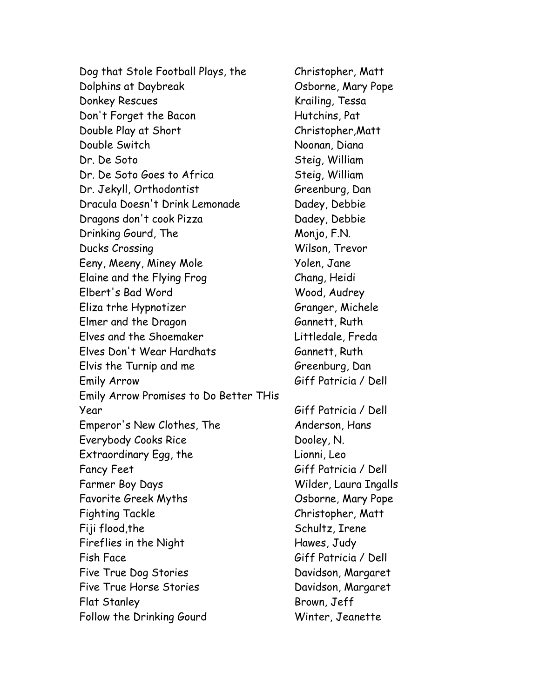Dog that Stole Football Plays, the Christopher, Matt Dolphins at Daybreak **Canada Expansion Company Pope** Osborne, Mary Pope Donkey Rescues Krailing, Tessa Don't Forget the Bacon Hutchins, Pat Double Play at Short Christopher,Matt Double Switch Noonan, Diana Dr. De Soto Steig, William Dr. De Soto Goes to Africa Steig, William Dr. Jekyll, Orthodontist Greenburg, Dan Dracula Doesn't Drink Lemonade Dadey, Debbie Dragons don't cook Pizza Dadey, Debbie Drinking Gourd, The Monjo, F.N. Ducks Crossing Wilson, Trevor Eeny, Meeny, Miney Mole Yolen, Jane Elaine and the Flying Frog Chang, Heidi Elbert's Bad Word Wood, Audrey Eliza trhe Hypnotizer Granger, Michele Elmer and the Dragon Gannett, Ruth Elves and the Shoemaker Littledale, Freda Elves Don't Wear Hardhats Gannett, Ruth Elvis the Turnip and me Greenburg, Dan Emily Arrow Giff Patricia / Dell Emily Arrow Promises to Do Better THis Year Giff Patricia / Dell Emperor's New Clothes, The Anderson, Hans Everybody Cooks Rice Dooley, N. Extraordinary Egg, the Extraordinary Egg, the Lionni, Leo Fancy Feet Giff Patricia / Dell Farmer Boy Days Wilder, Laura Ingalls Favorite Greek Myths Changes Associate Comme, Mary Pope Fighting Tackle Christopher, Matt Fiji flood,the Schultz, Irene Fireflies in the Night Fireflies in the Night Fish Face Giff Patricia / Dell Five True Dog Stories Davidson, Margaret Five True Horse Stories **Filter Contract** Davidson, Margaret Flat Stanley Brown, Jeff Follow the Drinking Gourd Winter, Jeanette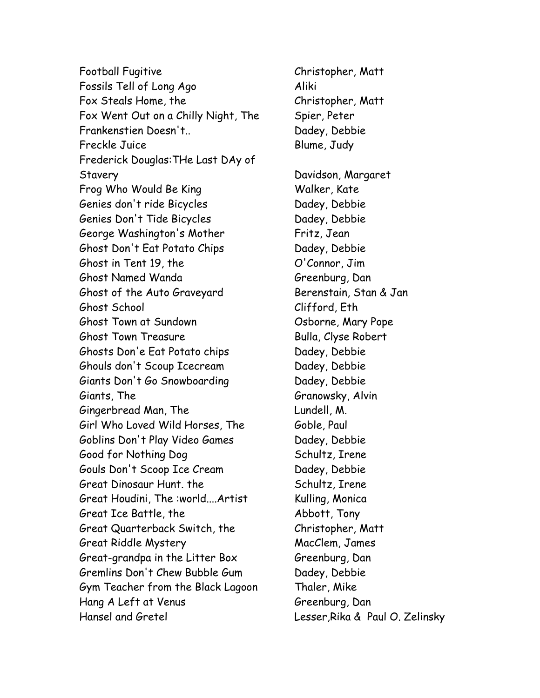Football Fugitive Christopher, Matt Fossils Tell of Long Ago **Aliki** Fox Steals Home, the Christopher, Matt Fox Went Out on a Chilly Night, The Spier, Peter Frankenstien Doesn't.. Dadey, Debbie Freckle Juice Blume, Judy Frederick Douglas:THe Last DAy of Stavery Davidson, Margaret Frog Who Would Be King Walker, Kate Genies don't ride Bicycles **Dadey**, Debbie Genies Don't Tide Bicycles Dadey, Debbie George Washington's Mother Fritz, Jean Ghost Don't Eat Potato Chips Dadey, Debbie Ghost in Tent 19, the  $O'$ Connor, Jim Ghost Named Wanda Greenburg, Dan Ghost of the Auto Graveyard Berenstain, Stan & Jan Ghost School Clifford, Eth Ghost Town at Sundown Cosborne, Mary Pope Ghost Town Treasure **Bulla, Clyse Robert** Ghosts Don'e Eat Potato chips Dadey, Debbie Ghouls don't Scoup Icecream Dadey, Debbie Giants Don't Go Snowboarding Dadey, Debbie Giants, The Granowsky, Alvin Gingerbread Man, The **Lundell**, M. Girl Who Loved Wild Horses, The Goble, Paul Goblins Don't Play Video Games Dadey, Debbie Good for Nothing Dog Schultz, Irene Gouls Don't Scoop Ice Cream Dadey, Debbie Great Dinosaur Hunt. the Schultz, Irene Great Houdini, The :world....Artist Kulling, Monica Great Ice Battle, the Abbott, Tony Great Quarterback Switch, the Christopher, Matt Great Riddle Mystery MacClem, James Great-grandpa in the Litter Box Greenburg, Dan Gremlins Don't Chew Bubble Gum Dadey, Debbie Gym Teacher from the Black Lagoon Thaler, Mike Hang A Left at Venus Greenburg, Dan Hansel and Gretel Lesser,Rika & Paul O. Zelinsky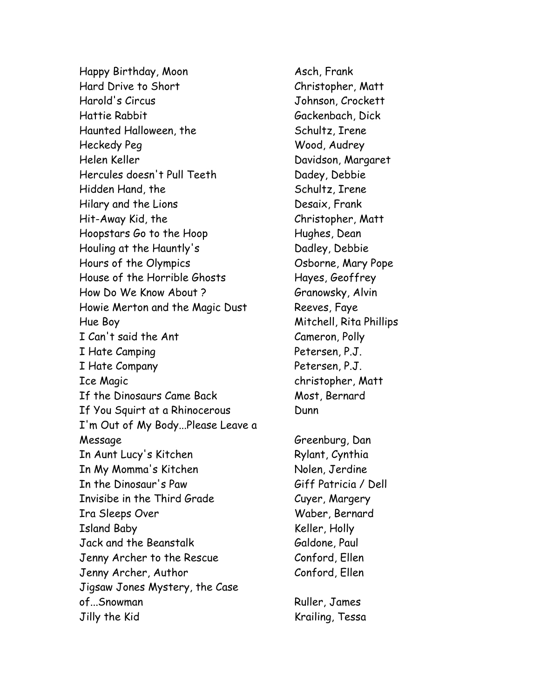Happy Birthday, Moon Asch, Frank Hard Drive to Short Christopher, Matt Harold's Circus Johnson, Crockett Hattie Rabbit Gackenbach, Dick Haunted Halloween, the Schultz, Irene Heckedy Peg Wood, Audrey Helen Keller Davidson, Margaret Hercules doesn't Pull Teeth Dadey, Debbie Hidden Hand, the Schultz, Irene Hilary and the Lions Desaix, Frank Hit-Away Kid, the Christopher, Matt Hoopstars Go to the Hoop Hughes, Dean Houling at the Hauntly's Dadley, Debbie Hours of the Olympics Cosborne, Mary Pope House of the Horrible Ghosts Hayes, Geoffrey How Do We Know About ? Granowsky, Alvin Howie Merton and the Magic Dust Reeves, Faye Hue Boy Mitchell, Rita Phillips I Can't said the Ant Cameron, Polly I Hate Camping Petersen, P.J. I Hate Company Petersen, P.J. Ice Magic christopher, Matt If the Dinosaurs Came Back Most, Bernard If You Squirt at a Rhinocerous Dunn I'm Out of My Body...Please Leave a Message Greenburg, Dan In Aunt Lucy's Kitchen Rylant, Cynthia In My Momma's Kitchen Nolen, Jerdine In the Dinosaur's Paw Giff Patricia / Dell Invisibe in the Third Grade Cuyer, Margery Ira Sleeps Over Waber, Bernard Island Baby Keller, Holly Jack and the Beanstalk Galdone, Paul Jenny Archer to the Rescue Conford, Ellen Jenny Archer, Author Conford, Ellen Jigsaw Jones Mystery, the Case of...Snowman Ruller, James Jilly the Kid Krailing, Tessa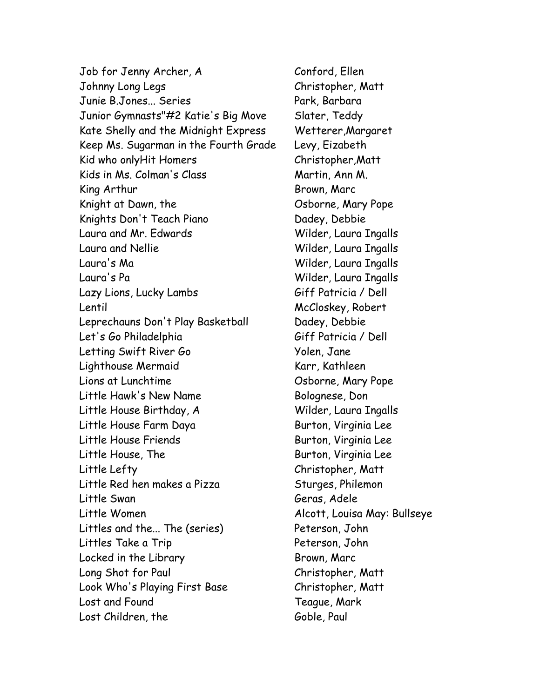Job for Jenny Archer, A Conford, Ellen Johnny Long Legs Christopher, Matt Junie B.Jones... Series Park, Barbara Junior Gymnasts"#2 Katie's Big Move Slater, Teddy Kate Shelly and the Midnight Express Wetterer, Margaret Keep Ms. Sugarman in the Fourth Grade Levy, Eizabeth Kid who onlyHit Homers Christopher, Matt Kids in Ms. Colman's Class Martin, Ann M. King Arthur **Brown, Marc** Knight at Dawn, the Charles Cosborne, Mary Pope Knights Don't Teach Piano **Dadey, Debbie** Laura and Mr. Edwards Wilder, Laura Ingalls Laura and Nellie Wilder, Laura Ingalls Laura's Ma Wilder, Laura Ingalls Laura's Pa Wilder, Laura Ingalls Lazy Lions, Lucky Lambs Giff Patricia / Dell Lentil McCloskey, Robert Leprechauns Don't Play Basketball Dadey, Debbie Let's Go Philadelphia Giff Patricia / Dell Letting Swift River Go **Yolen, Jane** Lighthouse Mermaid Karr, Kathleen Lions at Lunchtime Osborne, Mary Pope Little Hawk's New Name Bolognese, Don Little House Birthday, A Wilder, Laura Ingalls Little House Farm Daya Burton, Virginia Lee Little House Friends Friends Burton, Virginia Lee Little House, The Burton, Virginia Lee Little Lefty Christopher, Matt Little Red hen makes a Pizza Sturges, Philemon Little Swan Geras, Adele Little Women Alcott, Louisa May: Bullseye Littles and the... The (series) Peterson, John Littles Take a Trip Peterson, John Locked in the Library Entry Brown, Marc Long Shot for Paul Christopher, Matt Look Who's Playing First Base Christopher, Matt Lost and Found Teague, Mark Lost Children, the Goble, Paul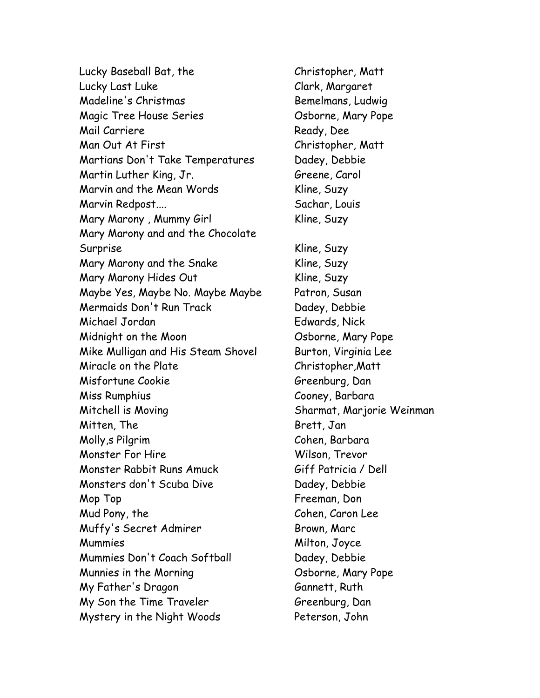Lucky Baseball Bat, the Christopher, Matt Lucky Last Luke Clark, Margaret Madeline's Christmas and Bemelmans, Ludwig Magic Tree House Series **Canadian Community** Osborne, Mary Pope Mail Carriere Ready, Dee Man Out At First Christopher, Matt Martians Don't Take Temperatures Dadey, Debbie Martin Luther King, Jr. Greene, Carol Marvin and the Mean Words Kline, Suzy Marvin Redpost.... Sachar, Louis Mary Marony , Mummy Girl **Kline, Suzy** Mary Marony and and the Chocolate Surprise Kline, Suzy Mary Marony and the Snake Kline, Suzy Mary Marony Hides Out **Kline, Suzy** Maybe Yes, Maybe No. Maybe Maybe Patron, Susan Mermaids Don't Run Track Dadey, Debbie Michael Jordan Edwards, Nick Midnight on the Moon Osborne, Mary Pope Mike Mulligan and His Steam Shovel Burton, Virginia Lee Miracle on the Plate Christopher, Matt Misfortune Cookie Greenburg, Dan Miss Rumphius Cooney, Barbara Mitchell is Moving **Sharmat, Marjorie Weinman** Mitten, The Brett, Jan Molly,s Pilgrim Cohen, Barbara Monster For Hire Wilson, Trevor Monster Rabbit Runs Amuck Giff Patricia / Dell Monsters don't Scuba Dive Dadey, Debbie Mop Top **Freeman**, Don Mud Pony, the Cohen, Caron Lee Muffy's Secret Admirer Brown, Marc Mummies Milton, Joyce Mummies Don't Coach Softball Dadey, Debbie Munnies in the Morning Theorem Cosborne, Mary Pope My Father's Dragon Gannett, Ruth My Son the Time Traveler Greenburg, Dan Mystery in the Night Woods Peterson, John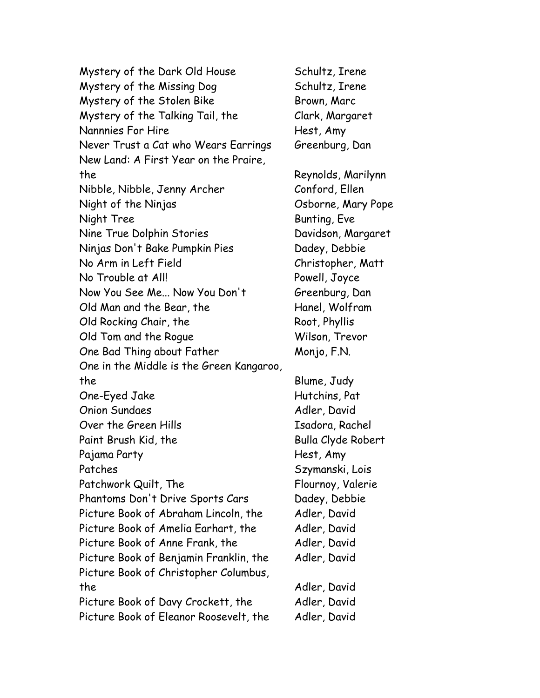Mystery of the Dark Old House Schultz, Irene Mystery of the Missing Dog Schultz, Irene Mystery of the Stolen Bike Brown, Marc Mystery of the Talking Tail, the Clark, Margaret Nannnies For Hire **Hest, Amy** Never Trust a Cat who Wears Earrings Greenburg, Dan New Land: A First Year on the Praire, the Reynolds, Marilynn Nibble, Nibble, Jenny Archer Conford, Ellen Night of the Ninjas Osborne, Mary Pope Night Tree Bunting, Eve Nine True Dolphin Stories Davidson, Margaret Ninjas Don't Bake Pumpkin Pies Dadey, Debbie No Arm in Left Field Christopher, Matt No Trouble at All! Powell, Joyce Now You See Me... Now You Don't Greenburg, Dan Old Man and the Bear, the Hanel, Wolfram Old Rocking Chair, the Root, Phyllis Old Tom and the Rogue Wilson, Trevor One Bad Thing about Father Monjo, F.N. One in the Middle is the Green Kangaroo, the Blume, Judy One-Eyed Jake Hutchins, Pat Onion Sundaes Adler, David Over the Green Hills **Isadora, Rachel** Paint Brush Kid, the Bulla Clyde Robert Pajama Party **Figure 2018** Hest, Amy Patches Szymanski, Lois Patchwork Quilt, The Flournoy, Valerie Phantoms Don't Drive Sports Cars Dadey, Debbie Picture Book of Abraham Lincoln, the Adler, David Picture Book of Amelia Earhart, the Adler, David Picture Book of Anne Frank, the Adler, David Picture Book of Benjamin Franklin, the Adler, David Picture Book of Christopher Columbus, the Adler, David Picture Book of Davy Crockett, the Adler, David Picture Book of Eleanor Roosevelt, the Adler, David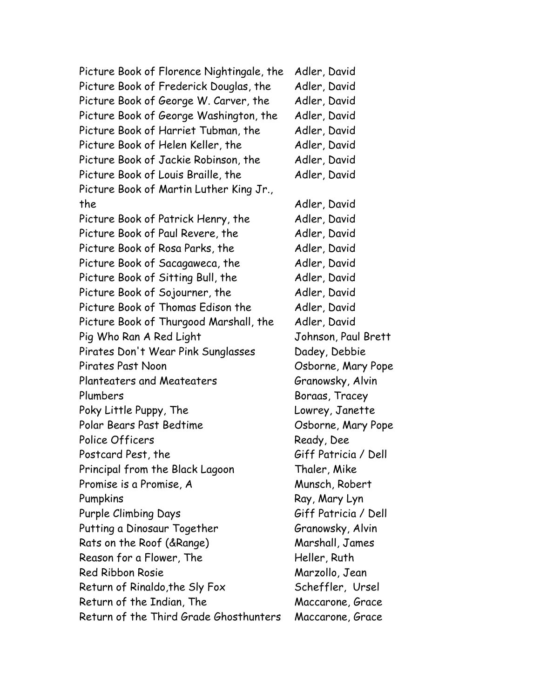Picture Book of Florence Nightingale, the Adler, David Picture Book of Frederick Douglas, the Adler, David Picture Book of George W. Carver, the Adler, David Picture Book of George Washington, the Adler, David Picture Book of Harriet Tubman, the Adler, David Picture Book of Helen Keller, the Adler, David Picture Book of Jackie Robinson, the Adler, David Picture Book of Louis Braille, the Adler, David Picture Book of Martin Luther King Jr., the Adler, David Picture Book of Patrick Henry, the Adler, David Picture Book of Paul Revere, the Adler, David Picture Book of Rosa Parks, the Adler, David Picture Book of Sacagaweca, the Adler, David Picture Book of Sitting Bull, the Adler, David Picture Book of Sojourner, the Adler, David Picture Book of Thomas Edison the Adler, David Picture Book of Thurgood Marshall, the Adler, David Pig Who Ran A Red Light Johnson, Paul Brett Pirates Don't Wear Pink Sunglasses Dadey, Debbie Pirates Past Noon **Discussion Community Property** Osborne, Mary Pope Planteaters and Meateaters Granowsky, Alvin Plumbers Boraas, Tracey Poky Little Puppy, The Lowrey, Janette Polar Bears Past Bedtime Osborne, Mary Pope Police Officers Ready, Dee Postcard Pest, the Giff Patricia / Dell Principal from the Black Lagoon Thaler, Mike Promise is a Promise, A Munsch, Robert Pumpkins Ray, Mary Lyn Purple Climbing Days Giff Patricia / Dell Putting a Dinosaur Together Granowsky, Alvin Rats on the Roof (&Range) Marshall, James Reason for a Flower, The Heller, Ruth Red Ribbon Rosie Marzollo, Jean Return of Rinaldo, the Sly Fox Scheffler, Ursel Return of the Indian, The Maccarone, Grace Return of the Third Grade Ghosthunters Maccarone, Grace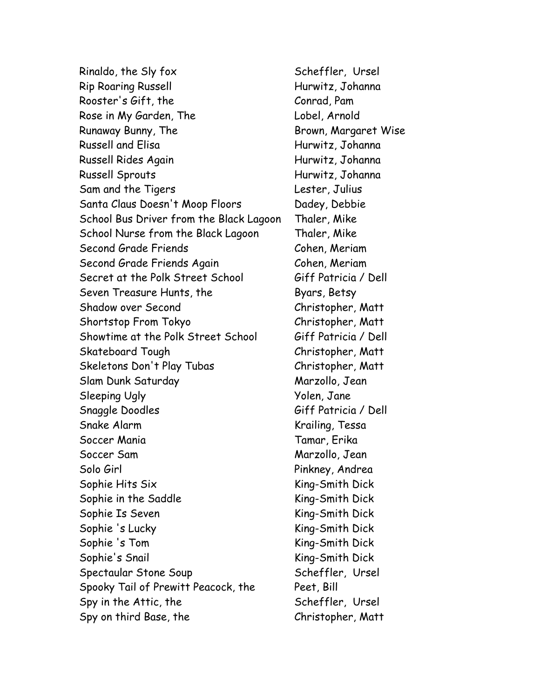Rinaldo, the Sly fox Scheffler, Ursel Rip Roaring Russell **Rip Roaring Russell** Hurwitz, Johanna Rooster's Gift, the Conrad, Pam Rose in My Garden, The Electronic Lobel, Arnold Runaway Bunny, The **Brown, Margaret Wise** Russell and Elisa **Hurwitz, Johanna** Russell Rides Again **Francisch Hurwitz, Johanna** Russell Sprouts **Hurwitz, Johanna** Sam and the Tigers **Lester**, Julius Santa Claus Doesn't Moop Floors Dadey, Debbie School Bus Driver from the Black Lagoon Thaler, Mike School Nurse from the Black Lagoon Thaler, Mike Second Grade Friends Cohen, Meriam Second Grade Friends Again Cohen, Meriam Secret at the Polk Street School Giff Patricia / Dell Seven Treasure Hunts, the Byars, Betsy Shadow over Second Christopher, Matt Shortstop From Tokyo Christopher, Matt Showtime at the Polk Street School Giff Patricia / Dell Skateboard Tough Christopher, Matt Skeletons Don't Play Tubas Christopher, Matt Slam Dunk Saturday Marzollo, Jean Sleeping Ugly The Contract of the Volen, Jane Snaggle Doodles Giff Patricia / Dell Snake Alarm Krailing, Tessa Soccer Mania Tamar, Erika Soccer Sam Marzollo, Jean Solo Girl Pinkney, Andrea Sophie Hits Six King-Smith Dick Sophie in the Saddle King-Smith Dick Sophie Is Seven King-Smith Dick Sophie 's Lucky King-Smith Dick Sophie 's Tom King-Smith Dick Sophie's Snail **King-Smith Dick** Spectaular Stone Soup Scheffler, Ursel Spooky Tail of Prewitt Peacock, the Peet, Bill Spy in the Attic, the Scheffler, Ursel Spy on third Base, the Christopher, Matt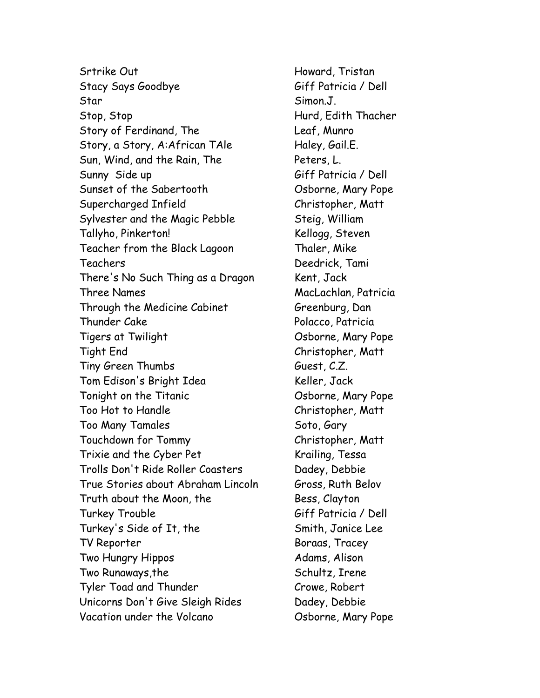Srtrike Out **Howard, Tristan** Stacy Says Goodbye Giff Patricia / Dell Star Simon.J. Stop, Stop Hurd, Edith Thacher Story of Ferdinand, The Leaf, Munro Story, a Story, A:African TAle Haley, Gail.E. Sun, Wind, and the Rain, The Peters, L. Sunny Side up Giff Patricia / Dell Sunset of the Sabertooth Cosborne, Mary Pope Supercharged Infield Christopher, Matt Sylvester and the Magic Pebble Steig, William Tallyho, Pinkerton! Kellogg, Steven Teacher from the Black Lagoon Thaler, Mike Teachers Deedrick, Tami There's No Such Thing as a Dragon Kent, Jack Three Names MacLachlan, Patricia Through the Medicine Cabinet Greenburg, Dan Thunder Cake Polacco, Patricia Tigers at Twilight Osborne, Mary Pope Tight End Christopher, Matt Tiny Green Thumbs Guest, C.Z. Tom Edison's Bright Idea Keller, Jack Tonight on the Titanic Cosborne, Mary Pope Too Hot to Handle Christopher, Matt Too Many Tamales Soto, Gary Touchdown for Tommy Christopher, Matt Trixie and the Cyber Pet Krailing, Tessa Trolls Don't Ride Roller Coasters Dadey, Debbie True Stories about Abraham Lincoln Gross, Ruth Belov Truth about the Moon, the Bess, Clayton Turkey Trouble Giff Patricia / Dell Turkey's Side of It, the Smith, Janice Lee TV Reporter Boraas, Tracey Two Hungry Hippos **Adams**, Alison Two Runaways, the Schultz, Irene Tyler Toad and Thunder Crowe, Robert Unicorns Don't Give Sleigh Rides Dadey, Debbie Vacation under the Volcano Cosborne, Mary Pope